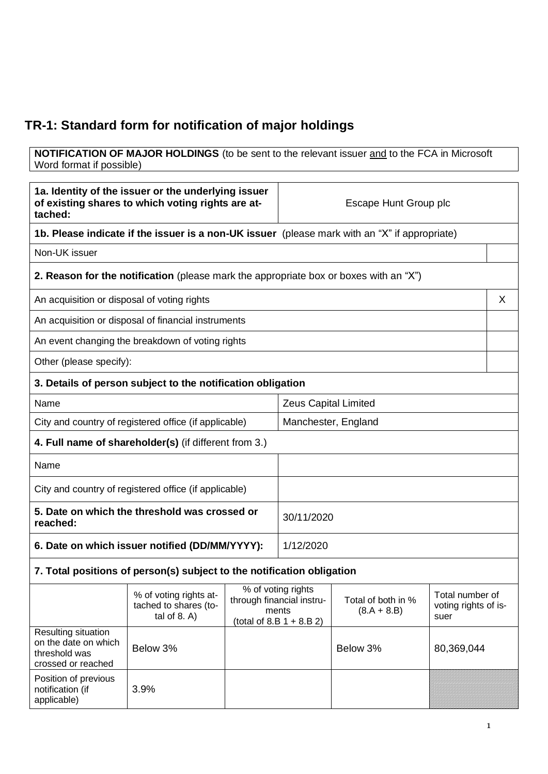## **TR-1: Standard form for notification of major holdings**

**NOTIFICATION OF MAJOR HOLDINGS** (to be sent to the relevant issuer and to the FCA in Microsoft Word format if possible)

| 1a. Identity of the issuer or the underlying issuer<br>of existing shares to which voting rights are at-<br>tached: |                                                                                               |                                                                                                          | Escape Hunt Group plc       |                    |                                                 |   |
|---------------------------------------------------------------------------------------------------------------------|-----------------------------------------------------------------------------------------------|----------------------------------------------------------------------------------------------------------|-----------------------------|--------------------|-------------------------------------------------|---|
|                                                                                                                     | 1b. Please indicate if the issuer is a non-UK issuer (please mark with an "X" if appropriate) |                                                                                                          |                             |                    |                                                 |   |
| Non-UK issuer                                                                                                       |                                                                                               |                                                                                                          |                             |                    |                                                 |   |
|                                                                                                                     | <b>2. Reason for the notification</b> (please mark the appropriate box or boxes with an "X")  |                                                                                                          |                             |                    |                                                 |   |
| An acquisition or disposal of voting rights                                                                         |                                                                                               |                                                                                                          |                             |                    |                                                 | X |
|                                                                                                                     | An acquisition or disposal of financial instruments                                           |                                                                                                          |                             |                    |                                                 |   |
|                                                                                                                     | An event changing the breakdown of voting rights                                              |                                                                                                          |                             |                    |                                                 |   |
| Other (please specify):                                                                                             |                                                                                               |                                                                                                          |                             |                    |                                                 |   |
|                                                                                                                     | 3. Details of person subject to the notification obligation                                   |                                                                                                          |                             |                    |                                                 |   |
| Name                                                                                                                |                                                                                               |                                                                                                          | <b>Zeus Capital Limited</b> |                    |                                                 |   |
|                                                                                                                     | City and country of registered office (if applicable)                                         |                                                                                                          | Manchester, England         |                    |                                                 |   |
|                                                                                                                     | 4. Full name of shareholder(s) (if different from 3.)                                         |                                                                                                          |                             |                    |                                                 |   |
| Name                                                                                                                |                                                                                               |                                                                                                          |                             |                    |                                                 |   |
| City and country of registered office (if applicable)                                                               |                                                                                               |                                                                                                          |                             |                    |                                                 |   |
| 5. Date on which the threshold was crossed or<br>reached:                                                           |                                                                                               |                                                                                                          |                             | 30/11/2020         |                                                 |   |
| 6. Date on which issuer notified (DD/MM/YYYY):                                                                      |                                                                                               | 1/12/2020                                                                                                |                             |                    |                                                 |   |
|                                                                                                                     | 7. Total positions of person(s) subject to the notification obligation                        |                                                                                                          |                             |                    |                                                 |   |
|                                                                                                                     | % of voting rights at-<br>tached to shares (to-<br>tal of $8. A$ )                            | % of voting rights<br>through financial instru-<br>ments<br>$(8.A + 8.B)$<br>(total of $8.B 1 + 8.B 2$ ) |                             | Total of both in % | Total number of<br>voting rights of is-<br>suer |   |
| Resulting situation<br>on the date on which<br>threshold was<br>crossed or reached                                  | Below 3%                                                                                      |                                                                                                          |                             | Below 3%           | 80,369,044                                      |   |
| Position of previous<br>notification (if<br>applicable)                                                             | 3.9%                                                                                          |                                                                                                          |                             |                    |                                                 |   |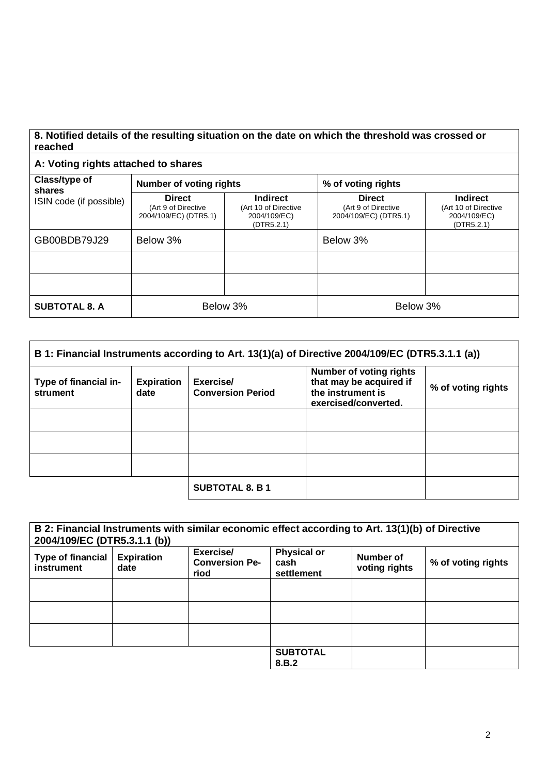## **8. Notified details of the resulting situation on the date on which the threshold was crossed or reached**

## **A: Voting rights attached to shares**

| Class/type of<br>shares | <b>Number of voting rights</b>                                |                                                                       | % of voting rights                                            |                                                                       |  |
|-------------------------|---------------------------------------------------------------|-----------------------------------------------------------------------|---------------------------------------------------------------|-----------------------------------------------------------------------|--|
| ISIN code (if possible) | <b>Direct</b><br>(Art 9 of Directive<br>2004/109/EC) (DTR5.1) | <b>Indirect</b><br>(Art 10 of Directive<br>2004/109/EC)<br>(DTR5.2.1) | <b>Direct</b><br>(Art 9 of Directive<br>2004/109/EC) (DTR5.1) | <b>Indirect</b><br>(Art 10 of Directive<br>2004/109/EC)<br>(DTR5.2.1) |  |
| GB00BDB79J29            | Below 3%                                                      |                                                                       | Below 3%                                                      |                                                                       |  |
|                         |                                                               |                                                                       |                                                               |                                                                       |  |
|                         |                                                               |                                                                       |                                                               |                                                                       |  |
| <b>SUBTOTAL 8. A</b>    | Below 3%                                                      |                                                                       | Below 3%                                                      |                                                                       |  |

| B 1: Financial Instruments according to Art. 13(1)(a) of Directive 2004/109/EC (DTR5.3.1.1 (a)) |                           |                                       |                                                                                                        |                    |
|-------------------------------------------------------------------------------------------------|---------------------------|---------------------------------------|--------------------------------------------------------------------------------------------------------|--------------------|
| Type of financial in-<br>strument                                                               | <b>Expiration</b><br>date | Exercise/<br><b>Conversion Period</b> | <b>Number of voting rights</b><br>that may be acquired if<br>the instrument is<br>exercised/converted. | % of voting rights |
|                                                                                                 |                           |                                       |                                                                                                        |                    |
|                                                                                                 |                           |                                       |                                                                                                        |                    |
|                                                                                                 |                           |                                       |                                                                                                        |                    |
|                                                                                                 |                           | <b>SUBTOTAL 8. B 1</b>                |                                                                                                        |                    |

| 2004/109/EC (DTR5.3.1.1 (b))           |                           | B 2: Financial Instruments with similar economic effect according to Art. 13(1)(b) of Directive |                                          |                            |                    |
|----------------------------------------|---------------------------|-------------------------------------------------------------------------------------------------|------------------------------------------|----------------------------|--------------------|
| <b>Type of financial</b><br>instrument | <b>Expiration</b><br>date | Exercise/<br><b>Conversion Pe-</b><br>riod                                                      | <b>Physical or</b><br>cash<br>settlement | Number of<br>voting rights | % of voting rights |
|                                        |                           |                                                                                                 |                                          |                            |                    |
|                                        |                           |                                                                                                 |                                          |                            |                    |
|                                        |                           |                                                                                                 |                                          |                            |                    |
|                                        |                           |                                                                                                 | <b>SUBTOTAL</b><br>8.B.2                 |                            |                    |